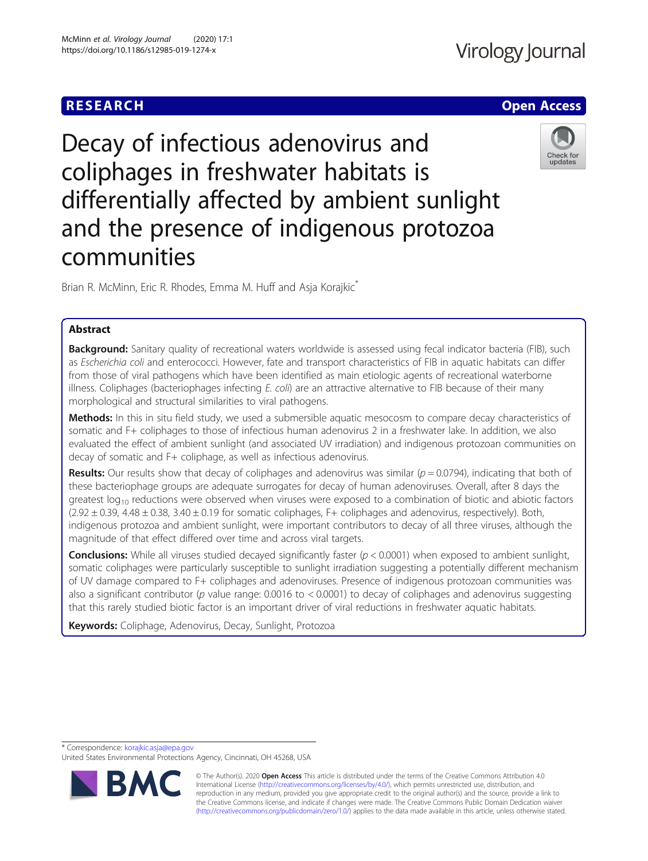## **RESEARCH CHE Open Access**

# Decay of infectious adenovirus and coliphages in freshwater habitats is differentially affected by ambient sunlight and the presence of indigenous protozoa communities

Brian R. McMinn, Eric R. Rhodes, Emma M. Huff and Asja Korajkic<sup>\*</sup>

## Abstract

Background: Sanitary quality of recreational waters worldwide is assessed using fecal indicator bacteria (FIB), such as Escherichia coli and enterococci. However, fate and transport characteristics of FIB in aquatic habitats can differ from those of viral pathogens which have been identified as main etiologic agents of recreational waterborne illness. Coliphages (bacteriophages infecting  $E.$  coli) are an attractive alternative to FIB because of their many morphological and structural similarities to viral pathogens.

Methods: In this in situ field study, we used a submersible aquatic mesocosm to compare decay characteristics of somatic and F+ coliphages to those of infectious human adenovirus 2 in a freshwater lake. In addition, we also evaluated the effect of ambient sunlight (and associated UV irradiation) and indigenous protozoan communities on decay of somatic and F+ coliphage, as well as infectious adenovirus.

**Results:** Our results show that decay of coliphages and adenovirus was similar ( $p = 0.0794$ ), indicating that both of these bacteriophage groups are adequate surrogates for decay of human adenoviruses. Overall, after 8 days the greatest  $log_{10}$  reductions were observed when viruses were exposed to a combination of biotic and abiotic factors  $(2.92 \pm 0.39, 4.48 \pm 0.38, 3.40 \pm 0.19$  for somatic coliphages, F+ coliphages and adenovirus, respectively). Both, indigenous protozoa and ambient sunlight, were important contributors to decay of all three viruses, although the magnitude of that effect differed over time and across viral targets.

**Conclusions:** While all viruses studied decayed significantly faster ( $p < 0.0001$ ) when exposed to ambient sunlight, somatic coliphages were particularly susceptible to sunlight irradiation suggesting a potentially different mechanism of UV damage compared to F+ coliphages and adenoviruses. Presence of indigenous protozoan communities was also a significant contributor ( $p$  value range: 0.0016 to  $<$  0.0001) to decay of coliphages and adenovirus suggesting that this rarely studied biotic factor is an important driver of viral reductions in freshwater aquatic habitats.

Keywords: Coliphage, Adenovirus, Decay, Sunlight, Protozoa

\* Correspondence: [korajkic.asja@epa.gov](mailto:korajkic.asja@epa.gov)

BΛ

© The Author(s). 2020 **Open Access** This article is distributed under the terms of the Creative Commons Attribution 4.0 International License [\(http://creativecommons.org/licenses/by/4.0/](http://creativecommons.org/licenses/by/4.0/)), which permits unrestricted use, distribution, and reproduction in any medium, provided you give appropriate credit to the original author(s) and the source, provide a link to the Creative Commons license, and indicate if changes were made. The Creative Commons Public Domain Dedication waiver

[\(http://creativecommons.org/publicdomain/zero/1.0/](http://creativecommons.org/publicdomain/zero/1.0/)) applies to the data made available in this article, unless otherwise stated.







United States Environmental Protections Agency, Cincinnati, OH 45268, USA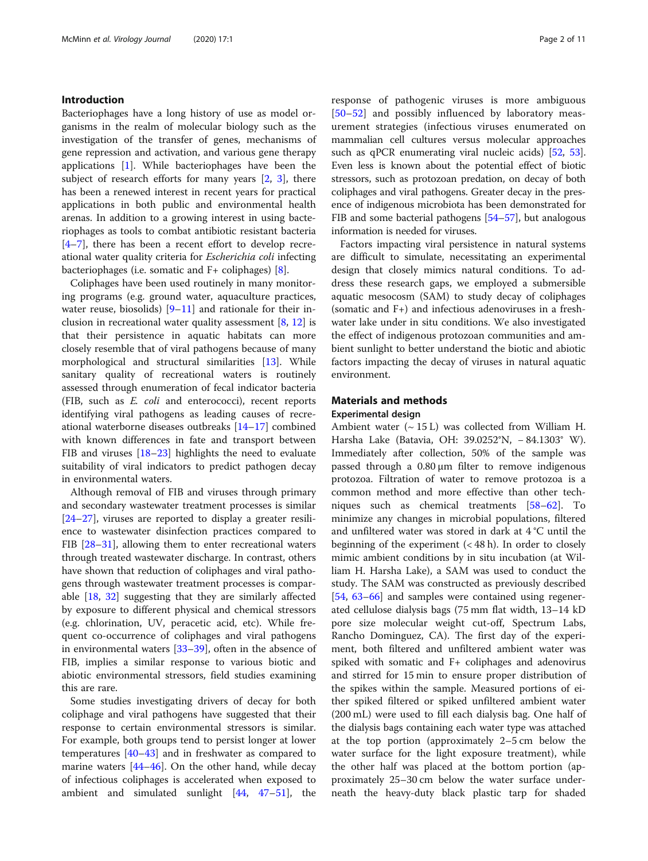## Introduction

Bacteriophages have a long history of use as model organisms in the realm of molecular biology such as the investigation of the transfer of genes, mechanisms of gene repression and activation, and various gene therapy applications [[1](#page-8-0)]. While bacteriophages have been the subject of research efforts for many years [\[2](#page-8-0), [3\]](#page-8-0), there has been a renewed interest in recent years for practical applications in both public and environmental health arenas. In addition to a growing interest in using bacteriophages as tools to combat antibiotic resistant bacteria [[4](#page-8-0)–[7\]](#page-8-0), there has been a recent effort to develop recreational water quality criteria for Escherichia coli infecting bacteriophages (i.e. somatic and F+ coliphages) [[8\]](#page-8-0).

Coliphages have been used routinely in many monitoring programs (e.g. ground water, aquaculture practices, water reuse, biosolids)  $[9-11]$  $[9-11]$  $[9-11]$  $[9-11]$  $[9-11]$  and rationale for their inclusion in recreational water quality assessment [\[8](#page-8-0), [12](#page-8-0)] is that their persistence in aquatic habitats can more closely resemble that of viral pathogens because of many morphological and structural similarities [[13\]](#page-8-0). While sanitary quality of recreational waters is routinely assessed through enumeration of fecal indicator bacteria (FIB, such as E. coli and enterococci), recent reports identifying viral pathogens as leading causes of recreational waterborne diseases outbreaks [\[14](#page-8-0)–[17\]](#page-8-0) combined with known differences in fate and transport between FIB and viruses  $[18–23]$  $[18–23]$  $[18–23]$  $[18–23]$  $[18–23]$  highlights the need to evaluate suitability of viral indicators to predict pathogen decay in environmental waters.

Although removal of FIB and viruses through primary and secondary wastewater treatment processes is similar [[24](#page-8-0)–[27](#page-8-0)], viruses are reported to display a greater resilience to wastewater disinfection practices compared to FIB [[28](#page-8-0)–[31](#page-8-0)], allowing them to enter recreational waters through treated wastewater discharge. In contrast, others have shown that reduction of coliphages and viral pathogens through wastewater treatment processes is comparable [[18](#page-8-0), [32\]](#page-8-0) suggesting that they are similarly affected by exposure to different physical and chemical stressors (e.g. chlorination, UV, peracetic acid, etc). While frequent co-occurrence of coliphages and viral pathogens in environmental waters [[33](#page-8-0)–[39](#page-8-0)], often in the absence of FIB, implies a similar response to various biotic and abiotic environmental stressors, field studies examining this are rare.

Some studies investigating drivers of decay for both coliphage and viral pathogens have suggested that their response to certain environmental stressors is similar. For example, both groups tend to persist longer at lower temperatures [\[40](#page-8-0)–[43\]](#page-9-0) and in freshwater as compared to marine waters [\[44](#page-9-0)–[46\]](#page-9-0). On the other hand, while decay of infectious coliphages is accelerated when exposed to ambient and simulated sunlight [[44,](#page-9-0) [47](#page-9-0)–[51](#page-9-0)], the

response of pathogenic viruses is more ambiguous [[50](#page-9-0)–[52\]](#page-9-0) and possibly influenced by laboratory measurement strategies (infectious viruses enumerated on mammalian cell cultures versus molecular approaches such as qPCR enumerating viral nucleic acids) [[52](#page-9-0), [53](#page-9-0)]. Even less is known about the potential effect of biotic stressors, such as protozoan predation, on decay of both coliphages and viral pathogens. Greater decay in the presence of indigenous microbiota has been demonstrated for FIB and some bacterial pathogens [\[54](#page-9-0)–[57\]](#page-9-0), but analogous information is needed for viruses.

Factors impacting viral persistence in natural systems are difficult to simulate, necessitating an experimental design that closely mimics natural conditions. To address these research gaps, we employed a submersible aquatic mesocosm (SAM) to study decay of coliphages (somatic and F+) and infectious adenoviruses in a freshwater lake under in situ conditions. We also investigated the effect of indigenous protozoan communities and ambient sunlight to better understand the biotic and abiotic factors impacting the decay of viruses in natural aquatic environment.

## Materials and methods

#### Experimental design

Ambient water  $({\sim} 15 \, {\rm L})$  was collected from William H. Harsha Lake (Batavia, OH: 39.0252°N, − 84.1303° W). Immediately after collection, 50% of the sample was passed through a 0.80 μm filter to remove indigenous protozoa. Filtration of water to remove protozoa is a common method and more effective than other techniques such as chemical treatments [[58](#page-9-0)–[62\]](#page-9-0). To minimize any changes in microbial populations, filtered and unfiltered water was stored in dark at 4 °C until the beginning of the experiment  $( $48 \text{ h}$ ). In order to closely$ mimic ambient conditions by in situ incubation (at William H. Harsha Lake), a SAM was used to conduct the study. The SAM was constructed as previously described [[54,](#page-9-0) [63](#page-9-0)–[66](#page-9-0)] and samples were contained using regenerated cellulose dialysis bags (75 mm flat width, 13–14 kD pore size molecular weight cut-off, Spectrum Labs, Rancho Dominguez, CA). The first day of the experiment, both filtered and unfiltered ambient water was spiked with somatic and F+ coliphages and adenovirus and stirred for 15 min to ensure proper distribution of the spikes within the sample. Measured portions of either spiked filtered or spiked unfiltered ambient water (200 mL) were used to fill each dialysis bag. One half of the dialysis bags containing each water type was attached at the top portion (approximately 2–5 cm below the water surface for the light exposure treatment), while the other half was placed at the bottom portion (approximately 25–30 cm below the water surface underneath the heavy-duty black plastic tarp for shaded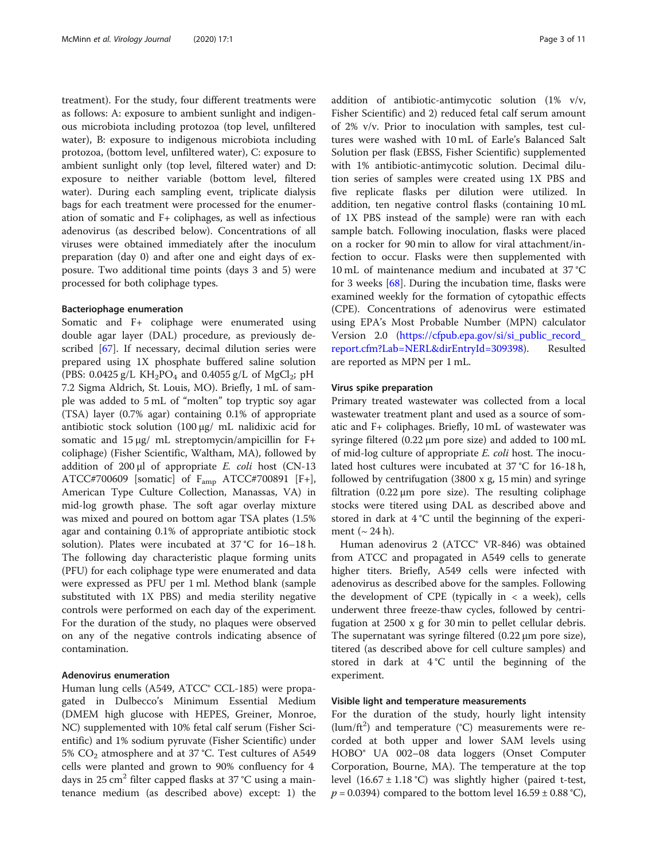treatment). For the study, four different treatments were as follows: A: exposure to ambient sunlight and indigenous microbiota including protozoa (top level, unfiltered water), B: exposure to indigenous microbiota including protozoa, (bottom level, unfiltered water), C: exposure to ambient sunlight only (top level, filtered water) and D: exposure to neither variable (bottom level, filtered water). During each sampling event, triplicate dialysis bags for each treatment were processed for the enumeration of somatic and F+ coliphages, as well as infectious adenovirus (as described below). Concentrations of all viruses were obtained immediately after the inoculum preparation (day 0) and after one and eight days of exposure. Two additional time points (days 3 and 5) were processed for both coliphage types.

#### Bacteriophage enumeration

Somatic and F+ coliphage were enumerated using double agar layer (DAL) procedure, as previously described [[67\]](#page-9-0). If necessary, decimal dilution series were prepared using 1X phosphate buffered saline solution (PBS: 0.0425 g/L KH<sub>2</sub>PO<sub>4</sub> and 0.4055 g/L of MgCl<sub>2</sub>; pH 7.2 Sigma Aldrich, St. Louis, MO). Briefly, 1 mL of sample was added to 5 mL of "molten" top tryptic soy agar (TSA) layer (0.7% agar) containing 0.1% of appropriate antibiotic stock solution (100 μg/ mL nalidixic acid for somatic and 15 μg/ mL streptomycin/ampicillin for F+ coliphage) (Fisher Scientific, Waltham, MA), followed by addition of  $200 \mu l$  of appropriate *E. coli* host (CN-13) ATCC#700609 [somatic] of Famp ATCC#700891 [F+], American Type Culture Collection, Manassas, VA) in mid-log growth phase. The soft agar overlay mixture was mixed and poured on bottom agar TSA plates (1.5% agar and containing 0.1% of appropriate antibiotic stock solution). Plates were incubated at 37 °C for 16–18 h. The following day characteristic plaque forming units (PFU) for each coliphage type were enumerated and data were expressed as PFU per 1 ml. Method blank (sample substituted with 1X PBS) and media sterility negative controls were performed on each day of the experiment. For the duration of the study, no plaques were observed on any of the negative controls indicating absence of contamination.

## Adenovirus enumeration

Human lung cells (A549, ATCC® CCL-185) were propagated in Dulbecco's Minimum Essential Medium (DMEM high glucose with HEPES, Greiner, Monroe, NC) supplemented with 10% fetal calf serum (Fisher Scientific) and 1% sodium pyruvate (Fisher Scientific) under 5%  $CO<sub>2</sub>$  atmosphere and at 37 °C. Test cultures of A549 cells were planted and grown to 90% confluency for 4 days in  $25 \text{ cm}^2$  filter capped flasks at  $37 \text{ °C}$  using a maintenance medium (as described above) except: 1) the addition of antibiotic-antimycotic solution (1% v/v, Fisher Scientific) and 2) reduced fetal calf serum amount of 2% v/v. Prior to inoculation with samples, test cultures were washed with 10 mL of Earle's Balanced Salt Solution per flask (EBSS, Fisher Scientific) supplemented with 1% antibiotic-antimycotic solution. Decimal dilution series of samples were created using 1X PBS and five replicate flasks per dilution were utilized. In addition, ten negative control flasks (containing 10 mL of 1X PBS instead of the sample) were ran with each sample batch. Following inoculation, flasks were placed on a rocker for 90 min to allow for viral attachment/infection to occur. Flasks were then supplemented with 10 mL of maintenance medium and incubated at 37 °C for 3 weeks  $[68]$  $[68]$ . During the incubation time, flasks were examined weekly for the formation of cytopathic effects (CPE). Concentrations of adenovirus were estimated using EPA's Most Probable Number (MPN) calculator Version 2.0 [\(https://cfpub.epa.gov/si/si\\_public\\_record\\_](https://cfpub.epa.gov/si/si_public_record_report.cfm?Lab=NERL&dirEntryId=309398) [report.cfm?Lab=NERL&dirEntryId=309398](https://cfpub.epa.gov/si/si_public_record_report.cfm?Lab=NERL&dirEntryId=309398)). Resulted are reported as MPN per 1 mL.

#### Virus spike preparation

Primary treated wastewater was collected from a local wastewater treatment plant and used as a source of somatic and F+ coliphages. Briefly, 10 mL of wastewater was syringe filtered (0.22 μm pore size) and added to 100 mL of mid-log culture of appropriate E. coli host. The inoculated host cultures were incubated at 37 °C for 16-18 h, followed by centrifugation  $(3800 \times g, 15 \text{ min})$  and syringe filtration  $(0.22 \mu m)$  pore size). The resulting coliphage stocks were titered using DAL as described above and stored in dark at  $4^{\circ}$ C until the beginning of the experiment  $({\sim} 24 \text{ h})$ .

Human adenovirus 2 (ATCC® VR-846) was obtained from ATCC and propagated in A549 cells to generate higher titers. Briefly, A549 cells were infected with adenovirus as described above for the samples. Following the development of CPE (typically in  $\lt$  a week), cells underwent three freeze-thaw cycles, followed by centrifugation at 2500 x g for 30 min to pellet cellular debris. The supernatant was syringe filtered  $(0.22 \mu m)$  pore size), titered (as described above for cell culture samples) and stored in dark at  $4^{\circ}C$  until the beginning of the experiment.

#### Visible light and temperature measurements

For the duration of the study, hourly light intensity ( $lum/ft<sup>2</sup>$ ) and temperature (°C) measurements were recorded at both upper and lower SAM levels using HOBO® UA 002–08 data loggers (Onset Computer Corporation, Bourne, MA). The temperature at the top level  $(16.67 \pm 1.18 \degree C)$  was slightly higher (paired t-test,  $p = 0.0394$ ) compared to the bottom level  $16.59 \pm 0.88$  °C),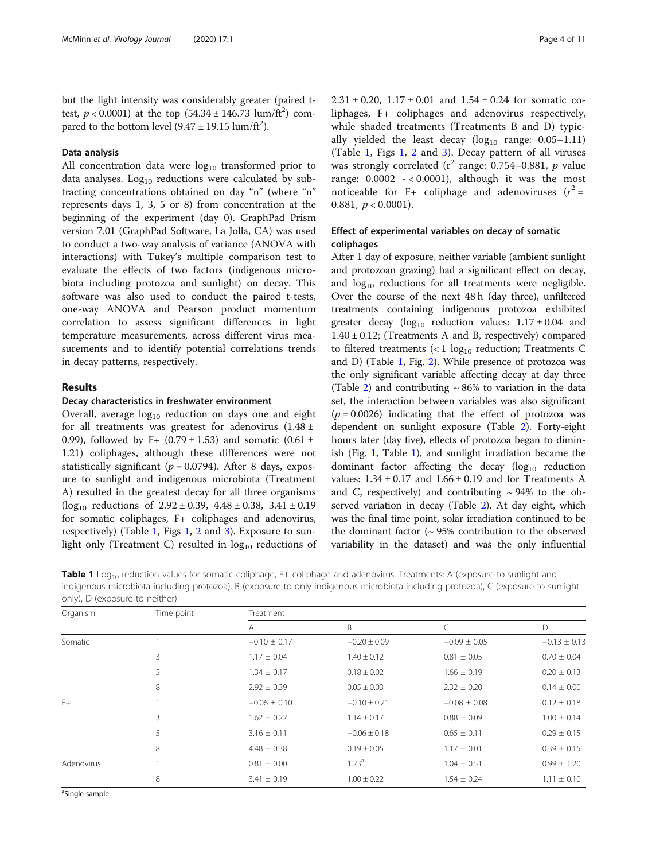<span id="page-3-0"></span>but the light intensity was considerably greater (paired ttest,  $p < 0.0001$ ) at the top  $(54.34 \pm 146.73 \text{ lum/ft}^2)$  compared to the bottom level  $(9.47 \pm 19.15 \text{ lum/ft}^2)$ .

## Data analysis

All concentration data were  $log_{10}$  transformed prior to data analyses.  $Log<sub>10</sub>$  reductions were calculated by subtracting concentrations obtained on day "n" (where "n" represents days 1, 3, 5 or 8) from concentration at the beginning of the experiment (day 0). GraphPad Prism version 7.01 (GraphPad Software, La Jolla, CA) was used to conduct a two-way analysis of variance (ANOVA with interactions) with Tukey's multiple comparison test to evaluate the effects of two factors (indigenous microbiota including protozoa and sunlight) on decay. This software was also used to conduct the paired t-tests, one-way ANOVA and Pearson product momentum correlation to assess significant differences in light temperature measurements, across different virus measurements and to identify potential correlations trends in decay patterns, respectively.

#### Results

### Decay characteristics in freshwater environment

Overall, average  $log_{10}$  reduction on days one and eight for all treatments was greatest for adenovirus  $(1.48 \pm$ 0.99), followed by F+  $(0.79 \pm 1.53)$  and somatic  $(0.61 \pm 1.53)$ 1.21) coliphages, although these differences were not statistically significant ( $p = 0.0794$ ). After 8 days, exposure to sunlight and indigenous microbiota (Treatment A) resulted in the greatest decay for all three organisms ( $log_{10}$  reductions of  $2.92 \pm 0.39$ ,  $4.48 \pm 0.38$ ,  $3.41 \pm 0.19$ for somatic coliphages, F+ coliphages and adenovirus, respectively) (Table 1, Figs [1,](#page-4-0) [2](#page-4-0) and [3](#page-5-0)). Exposure to sunlight only (Treatment C) resulted in  $log_{10}$  reductions of  $2.31 \pm 0.20$ ,  $1.17 \pm 0.01$  and  $1.54 \pm 0.24$  for somatic coliphages, F+ coliphages and adenovirus respectively, while shaded treatments (Treatments B and D) typically yielded the least decay  $(log_{10}$  range:  $0.05-1.11)$ (Table 1, Figs [1](#page-4-0), [2](#page-4-0) and [3](#page-5-0)). Decay pattern of all viruses was strongly correlated ( $r^2$  range: 0.754–0.881, p value range:  $0.0002$  - <  $0.0001$ ), although it was the most noticeable for F+ coliphage and adenoviruses  $(r^2 =$ 0.881,  $p < 0.0001$ ).

## Effect of experimental variables on decay of somatic coliphages

After 1 day of exposure, neither variable (ambient sunlight and protozoan grazing) had a significant effect on decay, and  $log_{10}$  reductions for all treatments were negligible. Over the course of the next 48 h (day three), unfiltered treatments containing indigenous protozoa exhibited greater decay ( $log_{10}$  reduction values:  $1.17 \pm 0.04$  and  $1.40 \pm 0.12$ ; (Treatments A and B, respectively) compared to filtered treatments  $\left($  < 1 log<sub>10</sub> reduction; Treatments C and D) (Table 1, Fig. [2\)](#page-4-0). While presence of protozoa was the only significant variable affecting decay at day three (Table [2\)](#page-5-0) and contributing  $\sim$  86% to variation in the data set, the interaction between variables was also significant  $(p = 0.0026)$  indicating that the effect of protozoa was dependent on sunlight exposure (Table [2\)](#page-5-0). Forty-eight hours later (day five), effects of protozoa began to diminish (Fig. [1,](#page-4-0) Table 1), and sunlight irradiation became the dominant factor affecting the decay  $(log_{10}$  reduction values:  $1.34 \pm 0.17$  and  $1.66 \pm 0.19$  and for Treatments A and C, respectively) and contributing  $\sim$  94% to the observed variation in decay (Table [2\)](#page-5-0). At day eight, which was the final time point, solar irradiation continued to be the dominant factor  $($   $\sim$  95% contribution to the observed variability in the dataset) and was the only influential

Table 1 Log<sub>10</sub> reduction values for somatic coliphage, F+ coliphage and adenovirus. Treatments: A (exposure to sunlight and indigenous microbiota including protozoa), B (exposure to only indigenous microbiota including protozoa), C (exposure to sunlight only), D (exposure to neither)

| Organism   | Time point | Treatment        |                   |                  |                  |  |
|------------|------------|------------------|-------------------|------------------|------------------|--|
|            |            | A                | B                 |                  | D                |  |
| Somatic    |            | $-0.10 \pm 0.17$ | $-0.20 \pm 0.09$  | $-0.09 \pm 0.05$ | $-0.13 \pm 0.13$ |  |
|            | 3          | $1.17 \pm 0.04$  | $1.40 \pm 0.12$   | $0.81 \pm 0.05$  | $0.70 \pm 0.04$  |  |
|            | 5          | $1.34 \pm 0.17$  | $0.18 \pm 0.02$   | $1.66 \pm 0.19$  | $0.20 \pm 0.13$  |  |
|            | 8          | $2.92 \pm 0.39$  | $0.05 \pm 0.03$   | $2.32 \pm 0.20$  | $0.14 \pm 0.00$  |  |
| $F+$       |            | $-0.06 \pm 0.10$ | $-0.10 \pm 0.21$  | $-0.08 \pm 0.08$ | $0.12 \pm 0.18$  |  |
|            | 3          | $1.62 \pm 0.22$  | $1.14 \pm 0.17$   | $0.88 \pm 0.09$  | $1.00 \pm 0.14$  |  |
|            | 5          | $3.16 \pm 0.11$  | $-0.06 \pm 0.18$  | $0.65 \pm 0.11$  | $0.29 \pm 0.15$  |  |
|            | 8          | $4.48 \pm 0.38$  | $0.19 \pm 0.05$   | $1.17 \pm 0.01$  | $0.39 \pm 0.15$  |  |
| Adenovirus |            | $0.81 \pm 0.00$  | 1.23 <sup>a</sup> | $1.04 \pm 0.51$  | $0.99 \pm 1.20$  |  |
|            | 8          | $3.41 \pm 0.19$  | $1.00 \pm 0.22$   | $1.54 \pm 0.24$  | $1.11 \pm 0.10$  |  |

<sup>a</sup>Single sample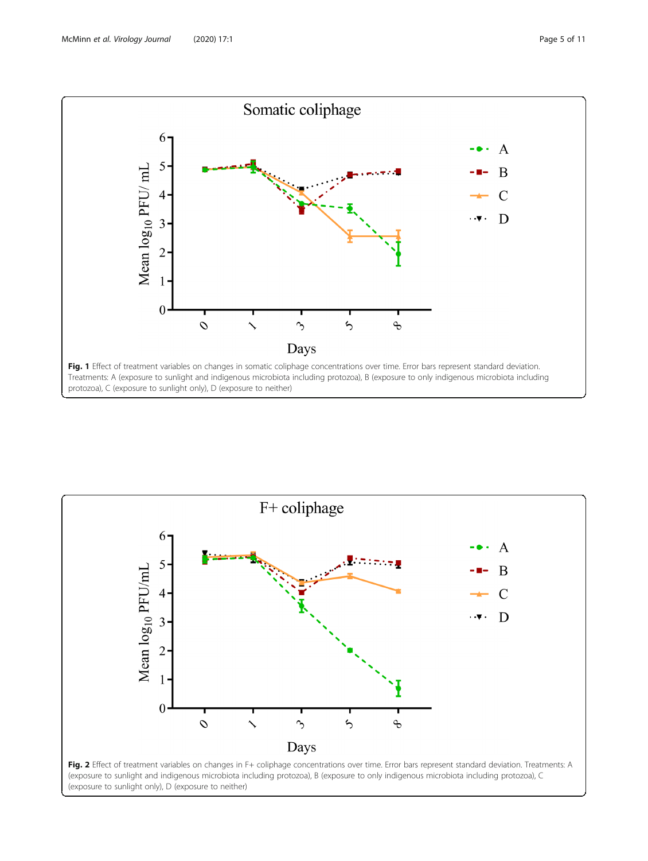<span id="page-4-0"></span>

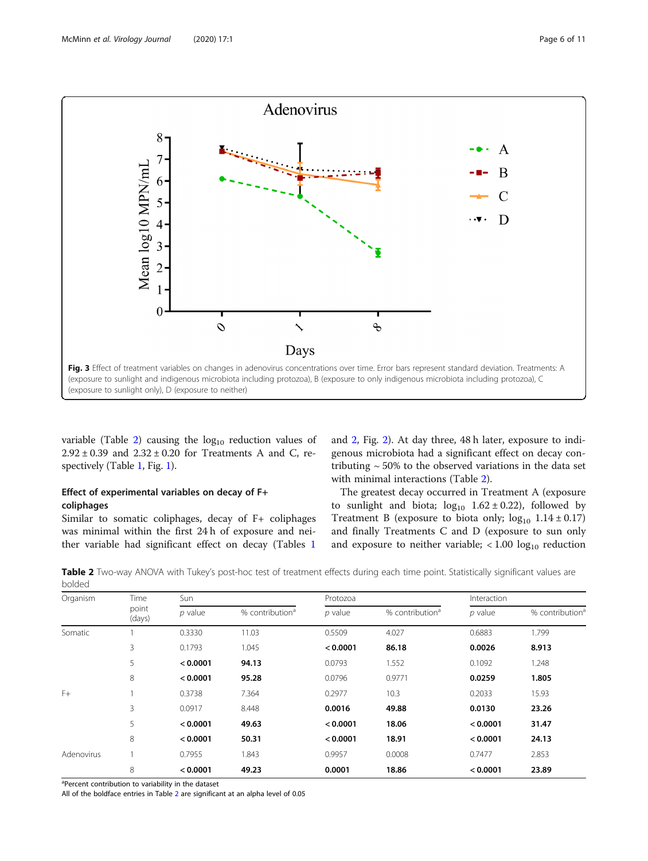<span id="page-5-0"></span>

variable (Table 2) causing the  $log_{10}$  reduction values of  $2.92 \pm 0.39$  and  $2.32 \pm 0.20$  for Treatments A and C, respectively (Table [1,](#page-3-0) Fig. [1](#page-4-0)).

## Effect of experimental variables on decay of F+ coliphages

Similar to somatic coliphages, decay of F+ coliphages was minimal within the first 24 h of exposure and neither variable had significant effect on decay (Tables [1](#page-3-0)

and 2, Fig. [2\)](#page-4-0). At day three, 48 h later, exposure to indigenous microbiota had a significant effect on decay contributing  $\sim$  50% to the observed variations in the data set with minimal interactions (Table 2).

The greatest decay occurred in Treatment A (exposure to sunlight and biota;  $log_{10}$  1.62 ± 0.22), followed by Treatment B (exposure to biota only;  $log_{10} 1.14 \pm 0.17$ ) and finally Treatments C and D (exposure to sun only and exposure to neither variable;  $< 1.00 \log_{10}$  reduction

Table 2 Two-way ANOVA with Tukey's post-hoc test of treatment effects during each time point. Statistically significant values are bolded

| Organism   | Time            | Sun       |                             | Protozoa  |                             | Interaction |                             |
|------------|-----------------|-----------|-----------------------------|-----------|-----------------------------|-------------|-----------------------------|
|            | point<br>(days) | $p$ value | % contribution <sup>a</sup> | $p$ value | % contribution <sup>a</sup> | $p$ value   | % contribution <sup>a</sup> |
| Somatic    |                 | 0.3330    | 11.03                       | 0.5509    | 4.027                       | 0.6883      | 1.799                       |
|            | 3               | 0.1793    | 1.045                       | < 0.0001  | 86.18                       | 0.0026      | 8.913                       |
|            | 5               | < 0.0001  | 94.13                       | 0.0793    | 1.552                       | 0.1092      | 1.248                       |
|            | 8               | < 0.0001  | 95.28                       | 0.0796    | 0.9771                      | 0.0259      | 1.805                       |
| $F+$       | 1               | 0.3738    | 7.364                       | 0.2977    | 10.3                        | 0.2033      | 15.93                       |
|            | 3               | 0.0917    | 8.448                       | 0.0016    | 49.88                       | 0.0130      | 23.26                       |
|            | 5               | < 0.0001  | 49.63                       | < 0.0001  | 18.06                       | < 0.0001    | 31.47                       |
|            | 8               | < 0.0001  | 50.31                       | < 0.0001  | 18.91                       | < 0.0001    | 24.13                       |
| Adenovirus |                 | 0.7955    | 1.843                       | 0.9957    | 0.0008                      | 0.7477      | 2.853                       |
|            | 8               | < 0.0001  | 49.23                       | 0.0001    | 18.86                       | < 0.0001    | 23.89                       |

<sup>a</sup>Percent contribution to variability in the dataset

All of the boldface entries in Table 2 are significant at an alpha level of 0.05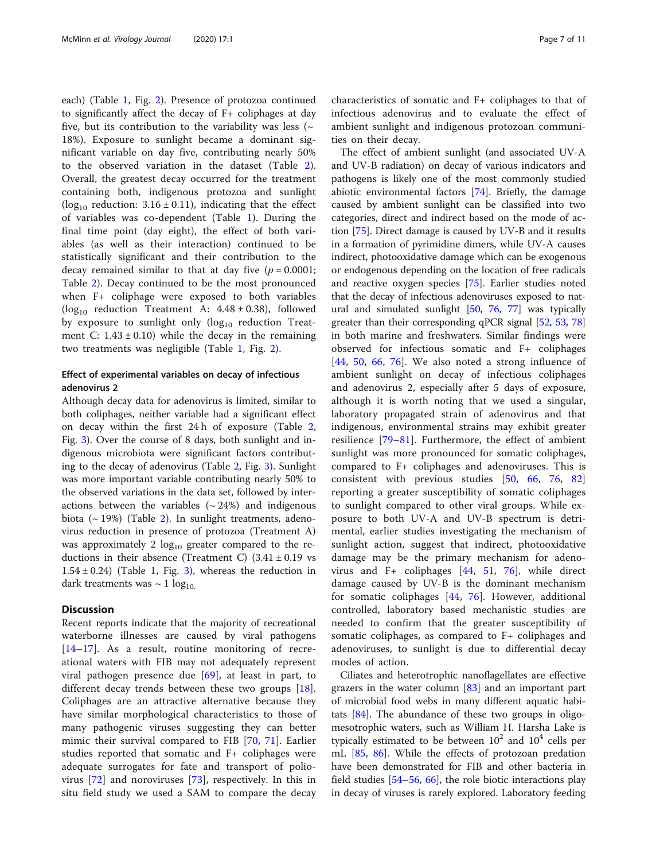each) (Table [1,](#page-3-0) Fig. [2\)](#page-4-0). Presence of protozoa continued to significantly affect the decay of F+ coliphages at day five, but its contribution to the variability was less ( $\sim$ 18%). Exposure to sunlight became a dominant significant variable on day five, contributing nearly 50% to the observed variation in the dataset (Table [2](#page-5-0)). Overall, the greatest decay occurred for the treatment containing both, indigenous protozoa and sunlight  $(\log_{10}$  reduction: 3.16 ± 0.11), indicating that the effect of variables was co-dependent (Table [1\)](#page-3-0). During the final time point (day eight), the effect of both variables (as well as their interaction) continued to be statistically significant and their contribution to the decay remained similar to that at day five  $(p = 0.0001;$ Table [2](#page-5-0)). Decay continued to be the most pronounced when F+ coliphage were exposed to both variables ( $log_{10}$  reduction Treatment A:  $4.48 \pm 0.38$ ), followed by exposure to sunlight only  $(log_{10}$  reduction Treatment C:  $1.43 \pm 0.10$ ) while the decay in the remaining two treatments was negligible (Table [1](#page-3-0), Fig. [2](#page-4-0)).

## Effect of experimental variables on decay of infectious adenovirus 2

Although decay data for adenovirus is limited, similar to both coliphages, neither variable had a significant effect on decay within the first 24 h of exposure (Table [2](#page-5-0), Fig. [3\)](#page-5-0). Over the course of 8 days, both sunlight and indigenous microbiota were significant factors contributing to the decay of adenovirus (Table [2,](#page-5-0) Fig. [3\)](#page-5-0). Sunlight was more important variable contributing nearly 50% to the observed variations in the data set, followed by interactions between the variables  $({\sim} 24%)$  and indigenous biota  $({\sim} 19\%)$  (Table [2](#page-5-0)). In sunlight treatments, adenovirus reduction in presence of protozoa (Treatment A) was approximately 2  $log_{10}$  greater compared to the reductions in their absence (Treatment C)  $(3.41 \pm 0.19 \text{ vs }$  $1.54 \pm 0.24$  $1.54 \pm 0.24$ ) (Table 1, Fig. [3](#page-5-0)), whereas the reduction in dark treatments was  $\sim 1 \log_{10}$ .

## **Discussion**

Recent reports indicate that the majority of recreational waterborne illnesses are caused by viral pathogens [[14](#page-8-0)–[17\]](#page-8-0). As a result, routine monitoring of recreational waters with FIB may not adequately represent viral pathogen presence due [[69](#page-9-0)], at least in part, to different decay trends between these two groups [\[18](#page-8-0)]. Coliphages are an attractive alternative because they have similar morphological characteristics to those of many pathogenic viruses suggesting they can better mimic their survival compared to FIB [\[70](#page-9-0), [71\]](#page-9-0). Earlier studies reported that somatic and F+ coliphages were adequate surrogates for fate and transport of poliovirus [\[72](#page-9-0)] and noroviruses [\[73](#page-9-0)], respectively. In this in situ field study we used a SAM to compare the decay

characteristics of somatic and F+ coliphages to that of infectious adenovirus and to evaluate the effect of ambient sunlight and indigenous protozoan communities on their decay.

The effect of ambient sunlight (and associated UV-A and UV-B radiation) on decay of various indicators and pathogens is likely one of the most commonly studied abiotic environmental factors [\[74](#page-9-0)]. Briefly, the damage caused by ambient sunlight can be classified into two categories, direct and indirect based on the mode of action [[75\]](#page-9-0). Direct damage is caused by UV-B and it results in a formation of pyrimidine dimers, while UV-A causes indirect, photooxidative damage which can be exogenous or endogenous depending on the location of free radicals and reactive oxygen species [[75\]](#page-9-0). Earlier studies noted that the decay of infectious adenoviruses exposed to natural and simulated sunlight [[50,](#page-9-0) [76,](#page-9-0) [77](#page-9-0)] was typically greater than their corresponding qPCR signal [[52](#page-9-0), [53](#page-9-0), [78](#page-9-0)] in both marine and freshwaters. Similar findings were observed for infectious somatic and F+ coliphages  $[44, 50, 66, 76]$  $[44, 50, 66, 76]$  $[44, 50, 66, 76]$  $[44, 50, 66, 76]$  $[44, 50, 66, 76]$  $[44, 50, 66, 76]$  $[44, 50, 66, 76]$  $[44, 50, 66, 76]$ . We also noted a strong influence of ambient sunlight on decay of infectious coliphages and adenovirus 2, especially after 5 days of exposure, although it is worth noting that we used a singular, laboratory propagated strain of adenovirus and that indigenous, environmental strains may exhibit greater resilience [[79](#page-9-0)–[81\]](#page-9-0). Furthermore, the effect of ambient sunlight was more pronounced for somatic coliphages, compared to F+ coliphages and adenoviruses. This is consistent with previous studies [[50,](#page-9-0) [66,](#page-9-0) [76](#page-9-0), [82](#page-9-0)] reporting a greater susceptibility of somatic coliphages to sunlight compared to other viral groups. While exposure to both UV-A and UV-B spectrum is detrimental, earlier studies investigating the mechanism of sunlight action, suggest that indirect, photooxidative damage may be the primary mechanism for adenovirus and F+ coliphages [\[44](#page-9-0), [51](#page-9-0), [76](#page-9-0)], while direct damage caused by UV-B is the dominant mechanism for somatic coliphages [[44,](#page-9-0) [76\]](#page-9-0). However, additional controlled, laboratory based mechanistic studies are needed to confirm that the greater susceptibility of somatic coliphages, as compared to F+ coliphages and adenoviruses, to sunlight is due to differential decay modes of action.

Ciliates and heterotrophic nanoflagellates are effective grazers in the water column [\[83\]](#page-9-0) and an important part of microbial food webs in many different aquatic habitats  $[84]$  $[84]$  $[84]$ . The abundance of these two groups in oligomesotrophic waters, such as William H. Harsha Lake is typically estimated to be between  $10^2$  and  $10^4$  cells per mL [\[85](#page-9-0), [86\]](#page-9-0). While the effects of protozoan predation have been demonstrated for FIB and other bacteria in field studies [\[54](#page-9-0)–[56,](#page-9-0) [66\]](#page-9-0), the role biotic interactions play in decay of viruses is rarely explored. Laboratory feeding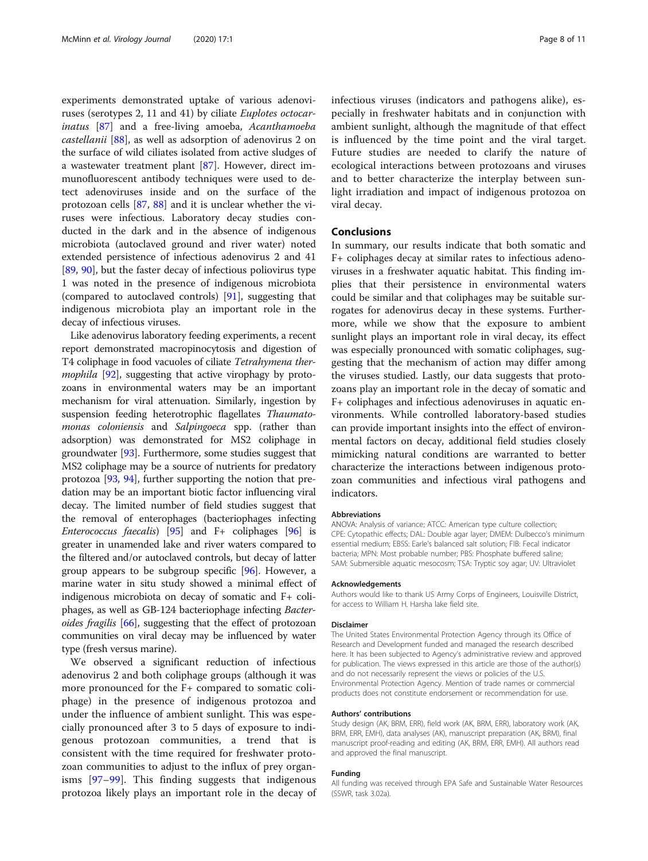experiments demonstrated uptake of various adenoviruses (serotypes 2, 11 and 41) by ciliate Euplotes octocar-inatus [\[87](#page-9-0)] and a free-living amoeba, Acanthamoeba castellanii [[88\]](#page-10-0), as well as adsorption of adenovirus 2 on the surface of wild ciliates isolated from active sludges of a wastewater treatment plant [[87](#page-9-0)]. However, direct immunofluorescent antibody techniques were used to detect adenoviruses inside and on the surface of the protozoan cells [[87](#page-9-0), [88\]](#page-10-0) and it is unclear whether the viruses were infectious. Laboratory decay studies conducted in the dark and in the absence of indigenous microbiota (autoclaved ground and river water) noted extended persistence of infectious adenovirus 2 and 41 [[89,](#page-10-0) [90\]](#page-10-0), but the faster decay of infectious poliovirus type 1 was noted in the presence of indigenous microbiota (compared to autoclaved controls) [\[91](#page-10-0)], suggesting that indigenous microbiota play an important role in the decay of infectious viruses.

Like adenovirus laboratory feeding experiments, a recent report demonstrated macropinocytosis and digestion of T4 coliphage in food vacuoles of ciliate Tetrahymena ther-mophila [[92\]](#page-10-0), suggesting that active virophagy by protozoans in environmental waters may be an important mechanism for viral attenuation. Similarly, ingestion by suspension feeding heterotrophic flagellates Thaumatomonas coloniensis and Salpingoeca spp. (rather than adsorption) was demonstrated for MS2 coliphage in groundwater [[93](#page-10-0)]. Furthermore, some studies suggest that MS2 coliphage may be a source of nutrients for predatory protozoa [\[93](#page-10-0), [94](#page-10-0)], further supporting the notion that predation may be an important biotic factor influencing viral decay. The limited number of field studies suggest that the removal of enterophages (bacteriophages infecting Enterococcus faecalis) [\[95\]](#page-10-0) and F+ coliphages [\[96\]](#page-10-0) is greater in unamended lake and river waters compared to the filtered and/or autoclaved controls, but decay of latter group appears to be subgroup specific [[96](#page-10-0)]. However, a marine water in situ study showed a minimal effect of indigenous microbiota on decay of somatic and F+ coliphages, as well as GB-124 bacteriophage infecting Bacteroides fragilis [[66](#page-9-0)], suggesting that the effect of protozoan communities on viral decay may be influenced by water type (fresh versus marine).

We observed a significant reduction of infectious adenovirus 2 and both coliphage groups (although it was more pronounced for the F+ compared to somatic coliphage) in the presence of indigenous protozoa and under the influence of ambient sunlight. This was especially pronounced after 3 to 5 days of exposure to indigenous protozoan communities, a trend that is consistent with the time required for freshwater protozoan communities to adjust to the influx of prey organisms [[97](#page-10-0)–[99\]](#page-10-0). This finding suggests that indigenous protozoa likely plays an important role in the decay of infectious viruses (indicators and pathogens alike), especially in freshwater habitats and in conjunction with ambient sunlight, although the magnitude of that effect is influenced by the time point and the viral target. Future studies are needed to clarify the nature of ecological interactions between protozoans and viruses and to better characterize the interplay between sunlight irradiation and impact of indigenous protozoa on viral decay.

## Conclusions

In summary, our results indicate that both somatic and F+ coliphages decay at similar rates to infectious adenoviruses in a freshwater aquatic habitat. This finding implies that their persistence in environmental waters could be similar and that coliphages may be suitable surrogates for adenovirus decay in these systems. Furthermore, while we show that the exposure to ambient sunlight plays an important role in viral decay, its effect was especially pronounced with somatic coliphages, suggesting that the mechanism of action may differ among the viruses studied. Lastly, our data suggests that protozoans play an important role in the decay of somatic and F+ coliphages and infectious adenoviruses in aquatic environments. While controlled laboratory-based studies can provide important insights into the effect of environmental factors on decay, additional field studies closely mimicking natural conditions are warranted to better characterize the interactions between indigenous protozoan communities and infectious viral pathogens and indicators.

#### Abbreviations

ANOVA: Analysis of variance; ATCC: American type culture collection; CPE: Cytopathic effects; DAL: Double agar layer; DMEM: Dulbecco's minimum essential medium; EBSS: Earle's balanced salt solution; FIB: Fecal indicator bacteria; MPN: Most probable number; PBS: Phosphate buffered saline; SAM: Submersible aquatic mesocosm; TSA: Tryptic soy agar; UV: Ultraviolet

#### Acknowledgements

Authors would like to thank US Army Corps of Engineers, Louisville District, for access to William H. Harsha lake field site.

#### Disclaimer

The United States Environmental Protection Agency through its Office of Research and Development funded and managed the research described here. It has been subjected to Agency's administrative review and approved for publication. The views expressed in this article are those of the author(s) and do not necessarily represent the views or policies of the U.S. Environmental Protection Agency. Mention of trade names or commercial products does not constitute endorsement or recommendation for use.

#### Authors' contributions

Study design (AK, BRM, ERR), field work (AK, BRM, ERR), laboratory work (AK, BRM, ERR, EMH), data analyses (AK), manuscript preparation (AK, BRM), final manuscript proof-reading and editing (AK, BRM, ERR, EMH). All authors read and approved the final manuscript.

#### Funding

All funding was received through EPA Safe and Sustainable Water Resources (SSWR, task 3.02a).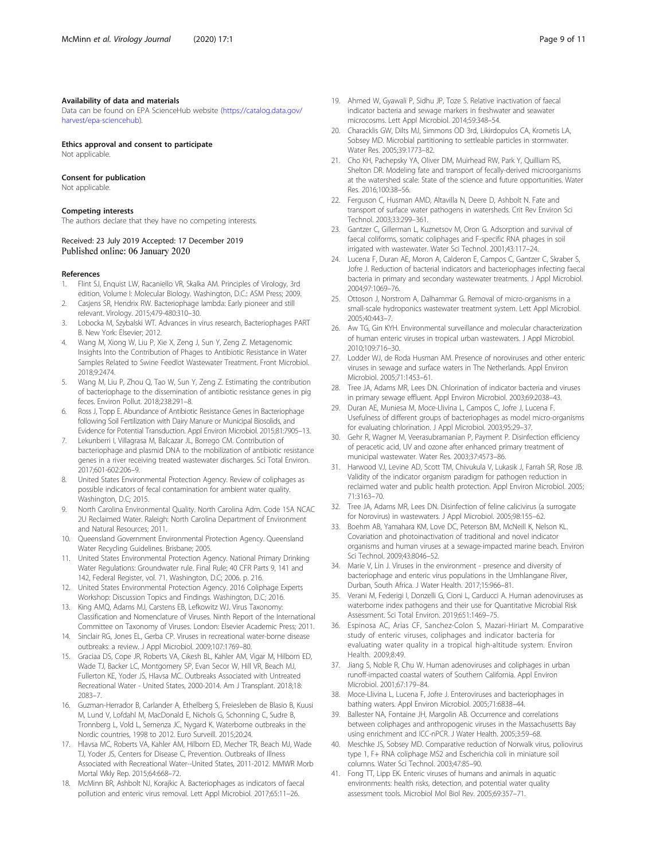#### <span id="page-8-0"></span>Availability of data and materials

Data can be found on EPA ScienceHub website ([https://catalog.data.gov/](https://catalog.data.gov/harvest/epa-sciencehub) [harvest/epa-sciencehub](https://catalog.data.gov/harvest/epa-sciencehub)).

Ethics approval and consent to participate Not applicable.

#### Consent for publication

Not applicable.

#### Competing interests

The authors declare that they have no competing interests.

#### Received: 23 July 2019 Accepted: 17 December 2019 Published online: 06 January 2020

#### References

- 1. Flint SJ, Enquist LW, Racaniello VR, Skalka AM. Principles of Virology, 3rd edition, Volume I: Molecular Biology. Washington, D.C.: ASM Press; 2009.
- 2. Casjens SR, Hendrix RW. Bacteriophage lambda: Early pioneer and still relevant. Virology. 2015;479-480:310–30.
- 3. Lobocka M, Szybalski WT. Advances in virus research, Bacteriophages PART B. New York: Elsevier; 2012.
- 4. Wang M, Xiong W, Liu P, Xie X, Zeng J, Sun Y, Zeng Z. Metagenomic Insights Into the Contribution of Phages to Antibiotic Resistance in Water Samples Related to Swine Feedlot Wastewater Treatment. Front Microbiol. 2018;9:2474.
- 5. Wang M, Liu P, Zhou Q, Tao W, Sun Y, Zeng Z. Estimating the contribution of bacteriophage to the dissemination of antibiotic resistance genes in pig feces. Environ Pollut. 2018;238:291–8.
- 6. Ross J, Topp E. Abundance of Antibiotic Resistance Genes in Bacteriophage following Soil Fertilization with Dairy Manure or Municipal Biosolids, and Evidence for Potential Transduction. Appl Environ Microbiol. 2015;81:7905–13.
- 7. Lekunberri I, Villagrasa M, Balcazar JL, Borrego CM. Contribution of bacteriophage and plasmid DNA to the mobilization of antibiotic resistance genes in a river receiving treated wastewater discharges. Sci Total Environ. 2017;601-602:206–9.
- 8. United States Environmental Protection Agency. Review of coliphages as possible indicators of fecal contamination for ambient water quality. Washington, D.C; 2015.
- 9. North Carolina Environmental Quality. North Carolina Adm. Code 15A NCAC 2U Reclaimed Water. Raleigh: North Carolina Department of Environment and Natural Resources; 2011.
- 10. Queensland Government Environmental Protection Agency. Queensland Water Recycling Guidelines. Brisbane; 2005.
- 11. United States Environmental Protection Agency. National Primary Drinking Water Regulations: Groundwater rule. Final Rule; 40 CFR Parts 9, 141 and 142, Federal Register, vol. 71. Washington, D.C; 2006. p. 216.
- 12. United States Environmental Protection Agency. 2016 Coliphage Experts Workshop: Discussion Topics and Findings. Washington, D.C; 2016.
- 13. King AMQ, Adams MJ, Carstens EB, Lefkowitz WJ. Virus Taxonomy: Classification and Nomenclature of Viruses. Ninth Report of the International Committee on Taxonomy of Viruses. London: Elsevier Academic Press; 2011.
- 14. Sinclair RG, Jones EL, Gerba CP. Viruses in recreational water-borne disease outbreaks: a review. J Appl Microbiol. 2009;107:1769–80.
- 15. Graciaa DS, Cope JR, Roberts VA, Cikesh BL, Kahler AM, Vigar M, Hilborn ED, Wade TJ, Backer LC, Montgomery SP, Evan Secor W, Hill VR, Beach MJ, Fullerton KE, Yoder JS, Hlavsa MC. Outbreaks Associated with Untreated Recreational Water - United States, 2000-2014. Am J Transplant. 2018;18: 2083–7.
- 16. Guzman-Herrador B, Carlander A, Ethelberg S, Freiesleben de Blasio B, Kuusi M, Lund V, Lofdahl M, MacDonald E, Nichols G, Schonning C, Sudre B, Tronnberg L, Vold L, Semenza JC, Nygard K. Waterborne outbreaks in the Nordic countries, 1998 to 2012. Euro Surveill. 2015;20:24.
- 17. Hlavsa MC, Roberts VA, Kahler AM, Hilborn ED, Mecher TR, Beach MJ, Wade TJ, Yoder JS, Centers for Disease C, Prevention. Outbreaks of Illness Associated with Recreational Water--United States, 2011-2012. MMWR Morb Mortal Wkly Rep. 2015;64:668–72.
- 18. McMinn BR, Ashbolt NJ, Korajkic A. Bacteriophages as indicators of faecal pollution and enteric virus removal. Lett Appl Microbiol. 2017;65:11–26.
- 19. Ahmed W, Gyawali P, Sidhu JP, Toze S. Relative inactivation of faecal indicator bacteria and sewage markers in freshwater and seawater microcosms. Lett Appl Microbiol. 2014;59:348–54.
- 20. Characklis GW, Dilts MJ, Simmons OD 3rd, Likirdopulos CA, Krometis LA, Sobsey MD. Microbial partitioning to settleable particles in stormwater. Water Res. 2005;39:1773–82.
- 21. Cho KH, Pachepsky YA, Oliver DM, Muirhead RW, Park Y, Quilliam RS, Shelton DR. Modeling fate and transport of fecally-derived microorganisms at the watershed scale: State of the science and future opportunities. Water Res. 2016;100:38–56.
- 22. Ferguson C, Husman AMD, Altavilla N, Deere D, Ashbolt N. Fate and transport of surface water pathogens in watersheds. Crit Rev Environ Sci Technol. 2003;33:299–361.
- 23. Gantzer C, Gillerman L, Kuznetsov M, Oron G. Adsorption and survival of faecal coliforms, somatic coliphages and F-specific RNA phages in soil irrigated with wastewater. Water Sci Technol. 2001;43:117–24.
- 24. Lucena F, Duran AE, Moron A, Calderon E, Campos C, Gantzer C, Skraber S, Jofre J. Reduction of bacterial indicators and bacteriophages infecting faecal bacteria in primary and secondary wastewater treatments. J Appl Microbiol. 2004;97:1069–76.
- 25. Ottoson J, Norstrom A, Dalhammar G. Removal of micro-organisms in a small-scale hydroponics wastewater treatment system. Lett Appl Microbiol. 2005;40:443–7.
- 26. Aw TG, Gin KYH. Environmental surveillance and molecular characterization of human enteric viruses in tropical urban wastewaters. J Appl Microbiol. 2010;109:716–30.
- 27. Lodder WJ, de Roda Husman AM. Presence of noroviruses and other enteric viruses in sewage and surface waters in The Netherlands. Appl Environ Microbiol. 2005;71:1453–61.
- 28. Tree JA, Adams MR, Lees DN. Chlorination of indicator bacteria and viruses in primary sewage effluent. Appl Environ Microbiol. 2003;69:2038–43.
- 29. Duran AE, Muniesa M, Moce-Llivina L, Campos C, Jofre J, Lucena F. Usefulness of different groups of bacteriophages as model micro-organisms for evaluating chlorination. J Appl Microbiol. 2003;95:29–37.
- 30. Gehr R, Wagner M, Veerasubramanian P, Payment P. Disinfection efficiency of peracetic acid, UV and ozone after enhanced primary treatment of municipal wastewater. Water Res. 2003;37:4573–86.
- 31. Harwood VJ, Levine AD, Scott TM, Chivukula V, Lukasik J, Farrah SR, Rose JB. Validity of the indicator organism paradigm for pathogen reduction in reclaimed water and public health protection. Appl Environ Microbiol. 2005; 71:3163–70.
- 32. Tree JA, Adams MR, Lees DN. Disinfection of feline calicivirus (a surrogate for Norovirus) in wastewaters. J Appl Microbiol. 2005;98:155–62.
- 33. Boehm AB, Yamahara KM, Love DC, Peterson BM, McNeill K, Nelson KL. Covariation and photoinactivation of traditional and novel indicator organisms and human viruses at a sewage-impacted marine beach. Environ Sci Technol. 2009;43:8046–52.
- 34. Marie V, Lin J. Viruses in the environment presence and diversity of bacteriophage and enteric virus populations in the Umhlangane River, Durban, South Africa. J Water Health. 2017;15:966–81.
- 35. Verani M, Federigi I, Donzelli G, Cioni L, Carducci A. Human adenoviruses as waterborne index pathogens and their use for Quantitative Microbial Risk Assessment. Sci Total Environ. 2019;651:1469–75.
- 36. Espinosa AC, Arias CF, Sanchez-Colon S, Mazari-Hiriart M. Comparative study of enteric viruses, coliphages and indicator bacteria for evaluating water quality in a tropical high-altitude system. Environ Health. 2009;8:49.
- 37. Jiang S, Noble R, Chu W. Human adenoviruses and coliphages in urban runoff-impacted coastal waters of Southern California. Appl Environ Microbiol. 2001;67:179–84.
- Moce-Llivina L, Lucena F, Jofre J. Enteroviruses and bacteriophages in bathing waters. Appl Environ Microbiol. 2005;71:6838–44.
- 39. Ballester NA, Fontaine JH, Margolin AB. Occurrence and correlations between coliphages and anthropogenic viruses in the Massachusetts Bay using enrichment and ICC-nPCR. J Water Health. 2005;3:59–68.
- 40. Meschke JS, Sobsey MD. Comparative reduction of Norwalk virus, poliovirus type 1, F+ RNA coliphage MS2 and Escherichia coli in miniature soil columns. Water Sci Technol. 2003;47:85–90.
- 41. Fong TT, Lipp EK. Enteric viruses of humans and animals in aquatic environments: health risks, detection, and potential water quality assessment tools. Microbiol Mol Biol Rev. 2005;69:357–71.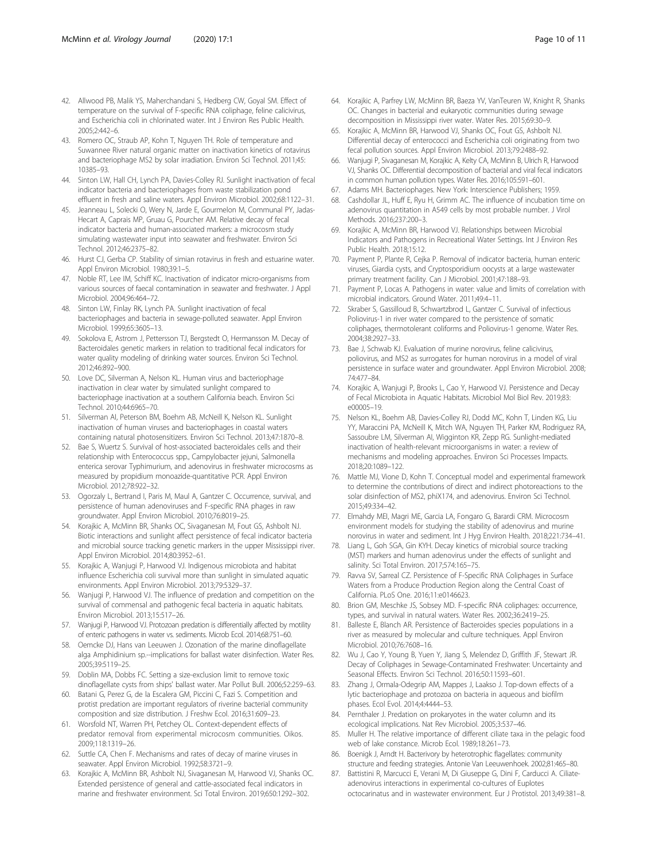- <span id="page-9-0"></span>42. Allwood PB, Malik YS, Maherchandani S, Hedberg CW, Goyal SM. Effect of temperature on the survival of F-specific RNA coliphage, feline calicivirus, and Escherichia coli in chlorinated water. Int J Environ Res Public Health. 2005;2:442–6.
- 43. Romero OC, Straub AP, Kohn T, Nguyen TH. Role of temperature and Suwannee River natural organic matter on inactivation kinetics of rotavirus and bacteriophage MS2 by solar irradiation. Environ Sci Technol. 2011;45: 10385–93.
- 44. Sinton LW, Hall CH, Lynch PA, Davies-Colley RJ. Sunlight inactivation of fecal indicator bacteria and bacteriophages from waste stabilization pond effluent in fresh and saline waters. Appl Environ Microbiol. 2002;68:1122–31.
- 45. Jeanneau L, Solecki O, Wery N, Jarde E, Gourmelon M, Communal PY, Jadas-Hecart A, Caprais MP, Gruau G, Pourcher AM. Relative decay of fecal indicator bacteria and human-associated markers: a microcosm study simulating wastewater input into seawater and freshwater. Environ Sci Technol. 2012;46:2375–82.
- 46. Hurst CJ, Gerba CP. Stability of simian rotavirus in fresh and estuarine water. Appl Environ Microbiol. 1980;39:1–5.
- 47. Noble RT, Lee IM, Schiff KC. Inactivation of indicator micro-organisms from various sources of faecal contamination in seawater and freshwater. J Appl Microbiol. 2004;96:464–72.
- 48. Sinton LW, Finlay RK, Lynch PA. Sunlight inactivation of fecal bacteriophages and bacteria in sewage-polluted seawater. Appl Environ Microbiol. 1999;65:3605–13.
- 49. Sokolova E, Astrom J, Pettersson TJ, Bergstedt O, Hermansson M. Decay of Bacteroidales genetic markers in relation to traditional fecal indicators for water quality modeling of drinking water sources. Environ Sci Technol. 2012;46:892–900.
- 50. Love DC, Silverman A, Nelson KL. Human virus and bacteriophage inactivation in clear water by simulated sunlight compared to bacteriophage inactivation at a southern California beach. Environ Sci Technol. 2010;44:6965–70.
- 51. Silverman AI, Peterson BM, Boehm AB, McNeill K, Nelson KL. Sunlight inactivation of human viruses and bacteriophages in coastal waters containing natural photosensitizers. Environ Sci Technol. 2013;47:1870–8.
- 52. Bae S, Wuertz S. Survival of host-associated bacteroidales cells and their relationship with Enterococcus spp., Campylobacter jejuni, Salmonella enterica serovar Typhimurium, and adenovirus in freshwater microcosms as measured by propidium monoazide-quantitative PCR. Appl Environ Microbiol. 2012;78:922–32.
- 53. Ogorzaly L, Bertrand I, Paris M, Maul A, Gantzer C. Occurrence, survival, and persistence of human adenoviruses and F-specific RNA phages in raw groundwater. Appl Environ Microbiol. 2010;76:8019–25.
- 54. Korajkic A, McMinn BR, Shanks OC, Sivaganesan M, Fout GS, Ashbolt NJ. Biotic interactions and sunlight affect persistence of fecal indicator bacteria and microbial source tracking genetic markers in the upper Mississippi river. Appl Environ Microbiol. 2014;80:3952–61.
- 55. Korajkic A, Wanjugi P, Harwood VJ. Indigenous microbiota and habitat influence Escherichia coli survival more than sunlight in simulated aquatic environments. Appl Environ Microbiol. 2013;79:5329–37.
- 56. Wanjugi P, Harwood VJ. The influence of predation and competition on the survival of commensal and pathogenic fecal bacteria in aquatic habitats. Environ Microbiol. 2013;15:517–26.
- 57. Wanjugi P, Harwood VJ. Protozoan predation is differentially affected by motility of enteric pathogens in water vs. sediments. Microb Ecol. 2014;68:751–60.
- 58. Oemcke DJ, Hans van Leeuwen J. Ozonation of the marine dinoflagellate alga Amphidinium sp.--implications for ballast water disinfection. Water Res. 2005;39:5119–25.
- 59. Doblin MA, Dobbs FC. Setting a size-exclusion limit to remove toxic dinoflagellate cysts from ships' ballast water. Mar Pollut Bull. 2006;52:259–63.
- 60. Batani G, Perez G, de la Escalera GM, Piccini C, Fazi S. Competition and protist predation are important regulators of riverine bacterial community composition and size distribution. J Freshw Ecol. 2016;31:609–23.
- 61. Worsfold NT, Warren PH, Petchey OL. Context-dependent effects of predator removal from experimental microcosm communities. Oikos. 2009;118:1319–26.
- 62. Suttle CA, Chen F. Mechanisms and rates of decay of marine viruses in seawater. Appl Environ Microbiol. 1992;58:3721–9.
- 63. Korajkic A, McMinn BR, Ashbolt NJ, Sivaganesan M, Harwood VJ, Shanks OC. Extended persistence of general and cattle-associated fecal indicators in marine and freshwater environment. Sci Total Environ. 2019;650:1292–302.
- 64. Korajkic A, Parfrey LW, McMinn BR, Baeza YV, VanTeuren W, Knight R, Shanks OC. Changes in bacterial and eukaryotic communities during sewage decomposition in Mississippi river water. Water Res. 2015;69:30–9.
- 65. Korajkic A, McMinn BR, Harwood VJ, Shanks OC, Fout GS, Ashbolt NJ. Differential decay of enterococci and Escherichia coli originating from two fecal pollution sources. Appl Environ Microbiol. 2013;79:2488–92.
- 66. Wanjugi P, Sivaganesan M, Korajkic A, Kelty CA, McMinn B, Ulrich R, Harwood VJ, Shanks OC. Differential decomposition of bacterial and viral fecal indicators in common human pollution types. Water Res. 2016;105:591–601.
- 67. Adams MH. Bacteriophages. New York: Interscience Publishers; 1959.
- 68. Cashdollar JL, Huff E, Ryu H, Grimm AC. The influence of incubation time on adenovirus quantitation in A549 cells by most probable number. J Virol Methods. 2016;237:200–3.
- 69. Korajkic A, McMinn BR, Harwood VJ. Relationships between Microbial Indicators and Pathogens in Recreational Water Settings. Int J Environ Res Public Health. 2018;15:12.
- 70. Payment P, Plante R, Cejka P. Removal of indicator bacteria, human enteric viruses, Giardia cysts, and Cryptosporidium oocysts at a large wastewater primary treatment facility. Can J Microbiol. 2001;47:188–93.
- 71. Payment P, Locas A. Pathogens in water: value and limits of correlation with microbial indicators. Ground Water. 2011;49:4–11.
- 72. Skraber S, Gassilloud B, Schwartzbrod L, Gantzer C. Survival of infectious Poliovirus-1 in river water compared to the persistence of somatic coliphages, thermotolerant coliforms and Poliovirus-1 genome. Water Res. 2004;38:2927–33.
- 73. Bae J, Schwab KJ. Evaluation of murine norovirus, feline calicivirus, poliovirus, and MS2 as surrogates for human norovirus in a model of viral persistence in surface water and groundwater. Appl Environ Microbiol. 2008; 74:477–84.
- 74. Korajkic A, Wanjugi P, Brooks L, Cao Y, Harwood VJ. Persistence and Decay of Fecal Microbiota in Aquatic Habitats. Microbiol Mol Biol Rev. 2019;83: e00005–19.
- 75. Nelson KL, Boehm AB, Davies-Colley RJ, Dodd MC, Kohn T, Linden KG, Liu YY, Maraccini PA, McNeill K, Mitch WA, Nguyen TH, Parker KM, Rodriguez RA, Sassoubre LM, Silverman AI, Wigginton KR, Zepp RG. Sunlight-mediated inactivation of health-relevant microorganisms in water: a review of mechanisms and modeling approaches. Environ Sci Processes Impacts. 2018;20:1089–122.
- 76. Mattle MJ, Vione D, Kohn T. Conceptual model and experimental framework to determine the contributions of direct and indirect photoreactions to the solar disinfection of MS2, phiX174, and adenovirus. Environ Sci Technol. 2015;49:334–42.
- 77. Elmahdy MEI, Magri ME, Garcia LA, Fongaro G, Barardi CRM. Microcosm environment models for studying the stability of adenovirus and murine norovirus in water and sediment. Int J Hyg Environ Health. 2018;221:734–41.
- 78. Liang L, Goh SGA, Gin KYH. Decay kinetics of microbial source tracking (MST) markers and human adenovirus under the effects of sunlight and salinity. Sci Total Environ. 2017;574:165–75.
- 79. Ravva SV, Sarreal CZ. Persistence of F-Specific RNA Coliphages in Surface Waters from a Produce Production Region along the Central Coast of California. PLoS One. 2016;11:e0146623.
- 80. Brion GM, Meschke JS, Sobsey MD. F-specific RNA coliphages: occurrence, types, and survival in natural waters. Water Res. 2002;36:2419–25.
- 81. Balleste E, Blanch AR. Persistence of Bacteroides species populations in a river as measured by molecular and culture techniques. Appl Environ Microbiol. 2010;76:7608–16.
- 82. Wu J, Cao Y, Young B, Yuen Y, Jiang S, Melendez D, Griffith JF, Stewart JR. Decay of Coliphages in Sewage-Contaminated Freshwater: Uncertainty and Seasonal Effects. Environ Sci Technol. 2016;50:11593–601.
- 83. Zhang J, Ormala-Odegrip AM, Mappes J, Laakso J. Top-down effects of a lytic bacteriophage and protozoa on bacteria in aqueous and biofilm phases. Ecol Evol. 2014;4:4444–53.
- 84. Pernthaler J. Predation on prokaryotes in the water column and its ecological implications. Nat Rev Microbiol. 2005;3:537–46.
- 85. Muller H. The relative importance of different ciliate taxa in the pelagic food web of lake constance. Microb Ecol. 1989;18:261–73.
- 86. Boenigk J, Arndt H. Bacterivory by heterotrophic flagellates: community structure and feeding strategies. Antonie Van Leeuwenhoek. 2002;81:465–80.
- 87. Battistini R, Marcucci E, Verani M, Di Giuseppe G, Dini F, Carducci A. Ciliateadenovirus interactions in experimental co-cultures of Euplotes octocarinatus and in wastewater environment. Eur J Protistol. 2013;49:381–8.